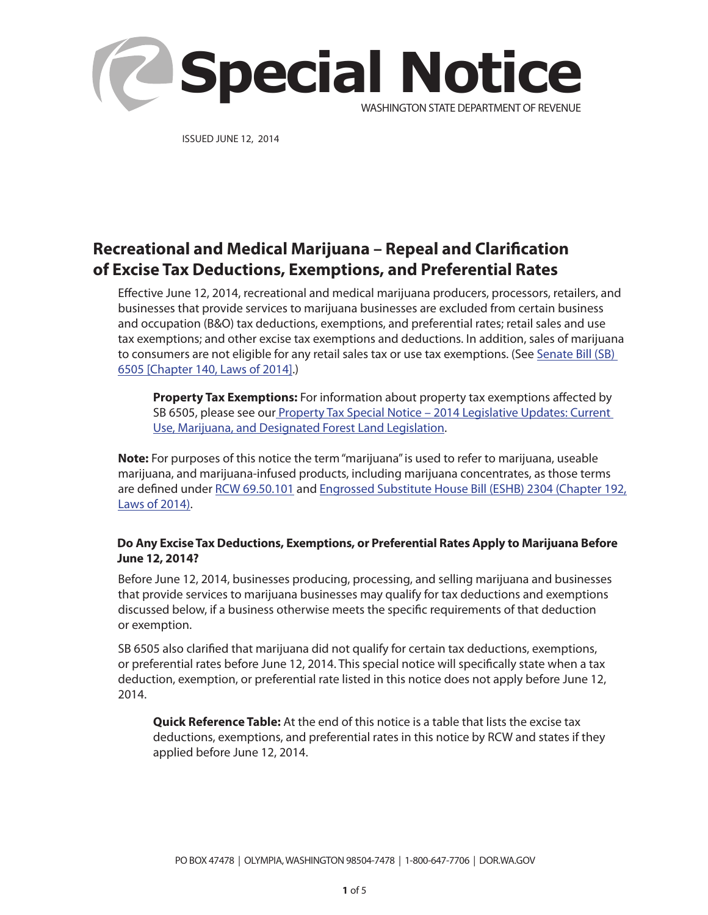

ISSUED JUNE 12, 2014

# **Recreational and Medical Marijuana – Repeal and Clarification of Excise Tax Deductions, Exemptions, and Preferential Rates**

Effective June 12, 2014, recreational and medical marijuana producers, processors, retailers, and businesses that provide services to marijuana businesses are excluded from certain business and occupation (B&O) tax deductions, exemptions, and preferential rates; retail sales and use tax exemptions; and other excise tax exemptions and deductions. In addition, sales of marijuana to consumers are not eligible for any retail sales tax or use tax exemptions. (See Senate Bill (SB) [6505 \[Chapter 140, Laws of 2014\]](http://apps.leg.wa.gov/documents/billdocs/2013-14/Pdf/Bills/Session%20Laws/Senate/6505.SL.pdf).)

**Property Tax Exemptions:** For information about property tax exemptions affected by SB 6505, please see our Property Tax Special Notice - 2014 Legislative Updates: Current [Use, Marijuana, and Designated Forest Land Legislation](http://dor.wa.gov/Docs/Pubs/SpecialNotices/2014/sn_14_CurrentUseDFL.pdf).

**Note:** For purposes of this notice the term "marijuana" is used to refer to marijuana, useable marijuana, and marijuana-infused products, including marijuana concentrates, as those terms are defined under [RCW 69.50.101](http://apps.leg.wa.gov/rcw/default.aspx?cite=69.50.101) and [Engrossed Substitute House Bill \(ESHB\) 2304 \(Chapter 192,](http://apps.leg.wa.gov/documents/billdocs/2013-14/Pdf/Bills/Session%20Laws/House/2304-S.SL.pdf) [Laws of 2014\)](http://apps.leg.wa.gov/documents/billdocs/2013-14/Pdf/Bills/Session%20Laws/House/2304-S.SL.pdf).

#### **Do Any Excise Tax Deductions, Exemptions, or Preferential Rates Apply to Marijuana Before June 12, 2014?**

Before June 12, 2014, businesses producing, processing, and selling marijuana and businesses that provide services to marijuana businesses may qualify for tax deductions and exemptions discussed below, if a business otherwise meets the specific requirements of that deduction or exemption.

SB 6505 also clarified that marijuana did not qualify for certain tax deductions, exemptions, or preferential rates before June 12, 2014. This special notice will specifically state when a tax deduction, exemption, or preferential rate listed in this notice does not apply before June 12, 2014.

**Quick Reference Table:** At the end of this notice is a table that lists the excise tax deductions, exemptions, and preferential rates in this notice by RCW and states if they applied before June 12, 2014.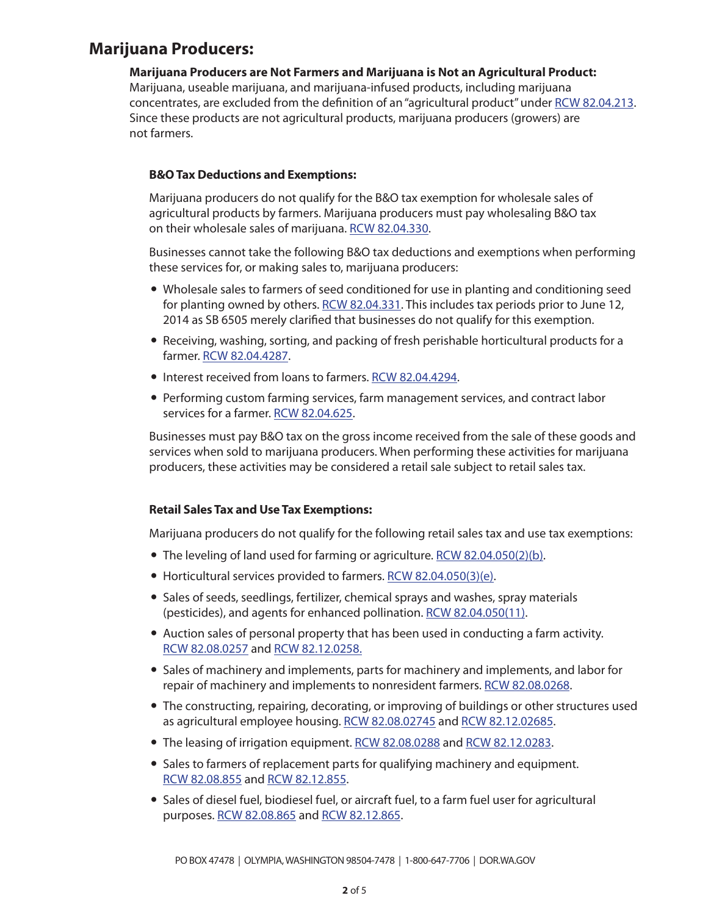### **Marijuana Producers:**

**Marijuana Producers are Not Farmers and Marijuana is Not an Agricultural Product:** Marijuana, useable marijuana, and marijuana-infused products, including marijuana concentrates, are excluded from the definition of an "agricultural product" under [RCW 82.04.213](http://apps.leg.wa.gov/rcw/default.aspx?cite=82.04.213). Since these products are not agricultural products, marijuana producers (growers) are not farmers.

#### **B&O Tax Deductions and Exemptions:**

Marijuana producers do not qualify for the B&O tax exemption for wholesale sales of agricultural products by farmers. Marijuana producers must pay wholesaling B&O tax on their wholesale sales of marijuana. [RCW 82.04.330.](http://apps.leg.wa.gov/rcw/default.aspx?cite=82.04.330)

Businesses cannot take the following B&O tax deductions and exemptions when performing these services for, or making sales to, marijuana producers:

- Wholesale sales to farmers of seed conditioned for use in planting and conditioning seed for planting owned by others. [RCW 82.04.331.](http://apps.leg.wa.gov/rcw/default.aspx?cite=82.04.331) This includes tax periods prior to June 12, 2014 as SB 6505 merely clarified that businesses do not qualify for this exemption.
- Receiving, washing, sorting, and packing of fresh perishable horticultural products for a farmer. [RCW 82.04.4287](http://apps.leg.wa.gov/rcw/default.aspx?cite=82.04.4287).
- Interest received from loans to farmers. [RCW 82.04.4294](http://apps.leg.wa.gov/rcw/default.aspx?cite=82.04.4294).
- Performing custom farming services, farm management services, and contract labor services for a farmer. [RCW 82.04.625.](http://apps.leg.wa.gov/rcw/default.aspx?cite=82.04.625)

Businesses must pay B&O tax on the gross income received from the sale of these goods and services when sold to marijuana producers. When performing these activities for marijuana producers, these activities may be considered a retail sale subject to retail sales tax.

#### **Retail Sales Tax and Use Tax Exemptions:**

Marijuana producers do not qualify for the following retail sales tax and use tax exemptions:

- The leveling of land used for farming or agriculture. [RCW 82.04.050\(2\)\(b\).](http://apps.leg.wa.gov/rcw/default.aspx?cite=82.04.050)
- Horticultural services provided to farmers. [RCW 82.04.050\(3\)\(e\).](http://apps.leg.wa.gov/rcw/default.aspx?cite=82.04.050)
- Sales of seeds, seedlings, fertilizer, chemical sprays and washes, spray materials (pesticides), and agents for enhanced pollination. [RCW 82.04.050\(11\)](http://apps.leg.wa.gov/rcw/default.aspx?cite=82.04.050).
- Auction sales of personal property that has been used in conducting a farm activity. [RCW 82.08.0257](http://apps.leg.wa.gov/rcw/default.aspx?cite=82.08.0257) and [RCW 82.12.0258.](http://apps.leg.wa.gov/rcw/default.aspx?cite=82.12.0258)
- Sales of machinery and implements, parts for machinery and implements, and labor for repair of machinery and implements to nonresident farmers. [RCW 82.08.0268.](http://apps.leg.wa.gov/rcw/default.aspx?cite=82.08.0268)
- The constructing, repairing, decorating, or improving of buildings or other structures used as agricultural employee housing. [RCW 82.08.02745](http://apps.leg.wa.gov/rcw/default.aspx?cite=82.08.02745) and [RCW 82.12.02685.](http://apps.leg.wa.gov/rcw/default.aspx?cite=82.12.02685)
- The leasing of irrigation equipment. [RCW 82.08.0288](http://apps.leg.wa.gov/rcw/default.aspx?cite=82.08.0288) and [RCW 82.12.0283.](http://apps.leg.wa.gov/rcw/default.aspx?cite=82.12.0283)
- Sales to farmers of replacement parts for qualifying machinery and equipment. [RCW 82.08.855](http://apps.leg.wa.gov/rcw/default.aspx?cite=82.08.855) and [RCW 82.12.855.](http://apps.leg.wa.gov/rcw/default.aspx?cite=82.12.855)
- Sales of diesel fuel, biodiesel fuel, or aircraft fuel, to a farm fuel user for agricultural purposes. [RCW 82.08.865](http://apps.leg.wa.gov/rcw/default.aspx?cite=82.08.865) and [RCW 82.12.865.](http://apps.leg.wa.gov/rcw/default.aspx?cite=82.12.865)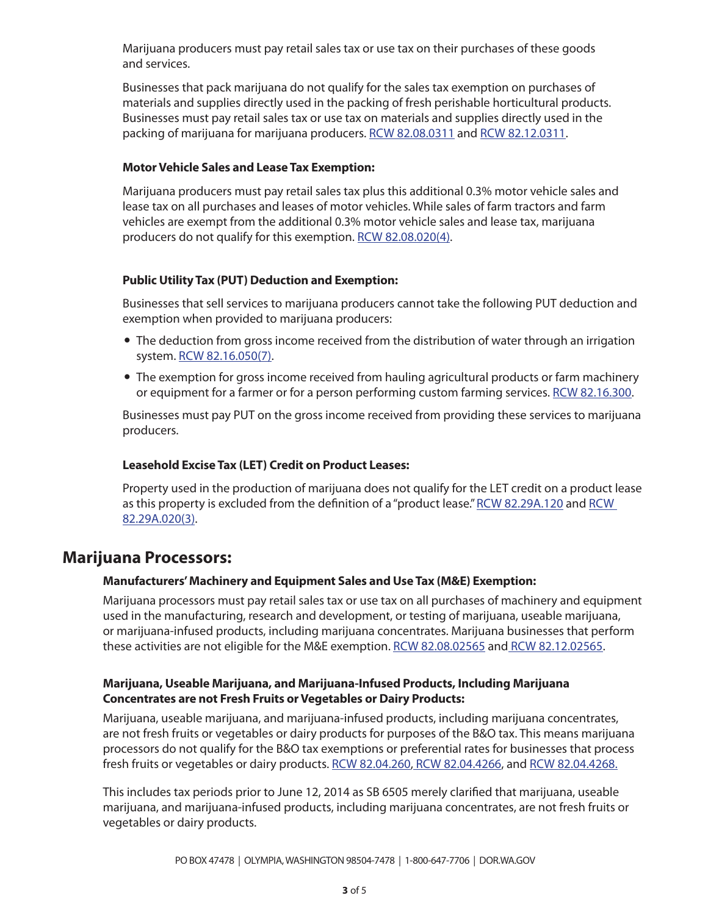Marijuana producers must pay retail sales tax or use tax on their purchases of these goods and services.

Businesses that pack marijuana do not qualify for the sales tax exemption on purchases of materials and supplies directly used in the packing of fresh perishable horticultural products. Businesses must pay retail sales tax or use tax on materials and supplies directly used in the packing of marijuana for marijuana producers. [RCW 82.08.0311](http://apps.leg.wa.gov/rcw/default.aspx?cite=82.08.0311) and [RCW 82.12.0311](http://apps.leg.wa.gov/rcw/default.aspx?cite=82.12.0311).

#### **Motor Vehicle Sales and Lease Tax Exemption:**

Marijuana producers must pay retail sales tax plus this additional 0.3% motor vehicle sales and lease tax on all purchases and leases of motor vehicles. While sales of farm tractors and farm vehicles are exempt from the additional 0.3% motor vehicle sales and lease tax, marijuana producers do not qualify for this exemption. [RCW 82.08.020\(4\)](http://apps.leg.wa.gov/rcw/default.aspx?cite=82.08.020).

#### **Public Utility Tax (PUT) Deduction and Exemption:**

Businesses that sell services to marijuana producers cannot take the following PUT deduction and exemption when provided to marijuana producers:

- The deduction from gross income received from the distribution of water through an irrigation system. [RCW 82.16.050\(7\).](http://apps.leg.wa.gov/rcw/default.aspx?cite=82.16.050)
- The exemption for gross income received from hauling agricultural products or farm machinery or equipment for a farmer or for a person performing custom farming services. [RCW 82.16.300](http://apps.leg.wa.gov/rcw/default.aspx?cite=82.16.300).

Businesses must pay PUT on the gross income received from providing these services to marijuana producers.

#### **Leasehold Excise Tax (LET) Credit on Product Leases:**

Property used in the production of marijuana does not qualify for the LET credit on a product lease as this property is excluded from the definition of a "product lease." [RCW 82.29A.120](http://apps.leg.wa.gov/rcw/default.aspx?cite=82.29A.120) and [RCW](http://apps.leg.wa.gov/rcw/default.aspx?cite=82.29A.020)  [82.29A.020\(3\).](http://apps.leg.wa.gov/rcw/default.aspx?cite=82.29A.020)

### **Marijuana Processors:**

#### **Manufacturers' Machinery and Equipment Sales and Use Tax (M&E) Exemption:**

Marijuana processors must pay retail sales tax or use tax on all purchases of machinery and equipment used in the manufacturing, research and development, or testing of marijuana, useable marijuana, or marijuana-infused products, including marijuana concentrates. Marijuana businesses that perform these activities are not eligible for the M&E exemption. [RCW 82.08.02565](http://apps.leg.wa.gov/rcw/default.aspx?cite=82.08.02565) and [RCW 82.12.02565](http://apps.leg.wa.gov/rcw/default.aspx?cite=82.12.02565).

#### **Marijuana, Useable Marijuana, and Marijuana-Infused Products, Including Marijuana Concentrates are not Fresh Fruits or Vegetables or Dairy Products:**

Marijuana, useable marijuana, and marijuana-infused products, including marijuana concentrates, are not fresh fruits or vegetables or dairy products for purposes of the B&O tax. This means marijuana processors do not qualify for the B&O tax exemptions or preferential rates for businesses that process fresh fruits or vegetables or dairy products. [RCW 82.04.260](http://apps.leg.wa.gov/rcw/default.aspx?cite=82.04.260), [RCW 82.04.4266,](http://apps.leg.wa.gov/rcw/default.aspx?cite=82.04.4266) and [RCW 82.04.4268.](http://apps.leg.wa.gov/rcw/default.aspx?cite=82.04.4268)

This includes tax periods prior to June 12, 2014 as SB 6505 merely clarified that marijuana, useable marijuana, and marijuana-infused products, including marijuana concentrates, are not fresh fruits or vegetables or dairy products.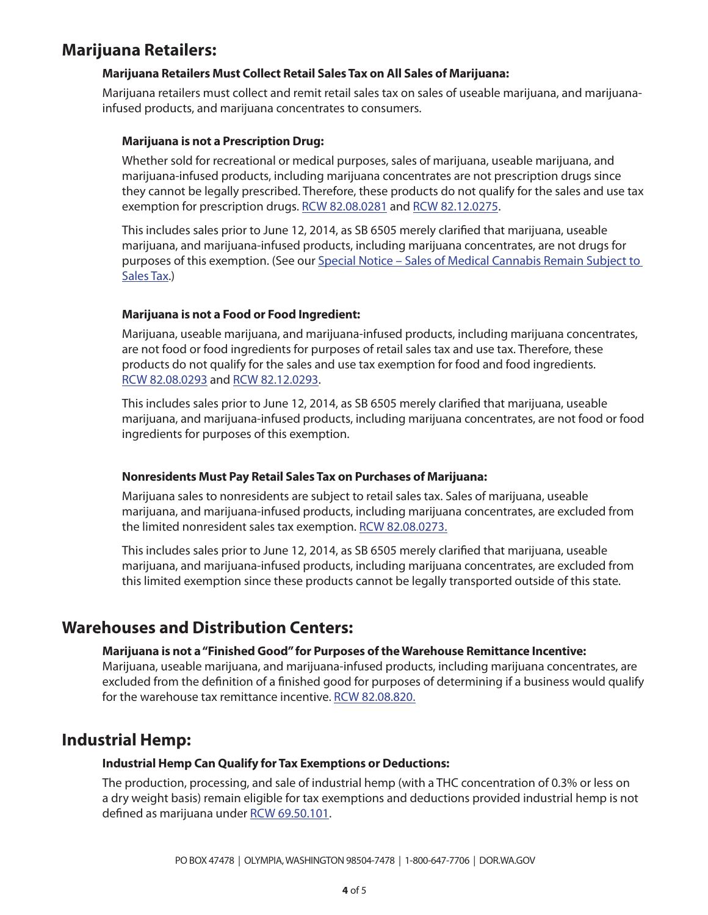## **Marijuana Retailers:**

#### **Marijuana Retailers Must Collect Retail Sales Tax on All Sales of Marijuana:**

Marijuana retailers must collect and remit retail sales tax on sales of useable marijuana, and marijuanainfused products, and marijuana concentrates to consumers.

#### **Marijuana is not a Prescription Drug:**

Whether sold for recreational or medical purposes, sales of marijuana, useable marijuana, and marijuana-infused products, including marijuana concentrates are not prescription drugs since they cannot be legally prescribed. Therefore, these products do not qualify for the sales and use tax exemption for prescription drugs. [RCW 82.08.0281](http://apps.leg.wa.gov/rcw/default.aspx?cite=82.08.0281) and [RCW 82.12.0275](http://apps.leg.wa.gov/rcw/default.aspx?cite=82.12.0275).

This includes sales prior to June 12, 2014, as SB 6505 merely clarified that marijuana, useable marijuana, and marijuana-infused products, including marijuana concentrates, are not drugs for purposes of this exemption. (See our Special Notice - Sales of Medical Cannabis Remain Subject to [Sales Tax.](http://dor.wa.gov/Docs/Pubs/SpecialNotices/2011/sn_11_Cannabis.pdf))

#### **Marijuana is not a Food or Food Ingredient:**

Marijuana, useable marijuana, and marijuana-infused products, including marijuana concentrates, are not food or food ingredients for purposes of retail sales tax and use tax. Therefore, these products do not qualify for the sales and use tax exemption for food and food ingredients. [RCW 82.08.0293](http://apps.leg.wa.gov/rcw/default.aspx?cite=82.08.0293) and [RCW 82.12.0293](http://apps.leg.wa.gov/rcw/default.aspx?cite=82.12.0293).

This includes sales prior to June 12, 2014, as SB 6505 merely clarified that marijuana, useable marijuana, and marijuana-infused products, including marijuana concentrates, are not food or food ingredients for purposes of this exemption.

#### **Nonresidents Must Pay Retail Sales Tax on Purchases of Marijuana:**

Marijuana sales to nonresidents are subject to retail sales tax. Sales of marijuana, useable marijuana, and marijuana-infused products, including marijuana concentrates, are excluded from the limited nonresident sales tax exemption. [RCW 82.08.0273.](http://apps.leg.wa.gov/rcw/default.aspx?cite=82.08.0273)

This includes sales prior to June 12, 2014, as SB 6505 merely clarified that marijuana, useable marijuana, and marijuana-infused products, including marijuana concentrates, are excluded from this limited exemption since these products cannot be legally transported outside of this state.

### **Warehouses and Distribution Centers:**

#### **Marijuana is not a "Finished Good" for Purposes of the Warehouse Remittance Incentive:**

Marijuana, useable marijuana, and marijuana-infused products, including marijuana concentrates, are excluded from the definition of a finished good for purposes of determining if a business would qualify for the warehouse tax remittance incentive. [RCW 82.08.820.](http://apps.leg.wa.gov/rcw/default.aspx?cite=82.08.820)

### **Industrial Hemp:**

#### **Industrial Hemp Can Qualify for Tax Exemptions or Deductions:**

The production, processing, and sale of industrial hemp (with a THC concentration of 0.3% or less on a dry weight basis) remain eligible for tax exemptions and deductions provided industrial hemp is not defined as marijuana under [RCW 69.50.101.](http://apps.leg.wa.gov/rcw/default.aspx?cite=69.50.101)